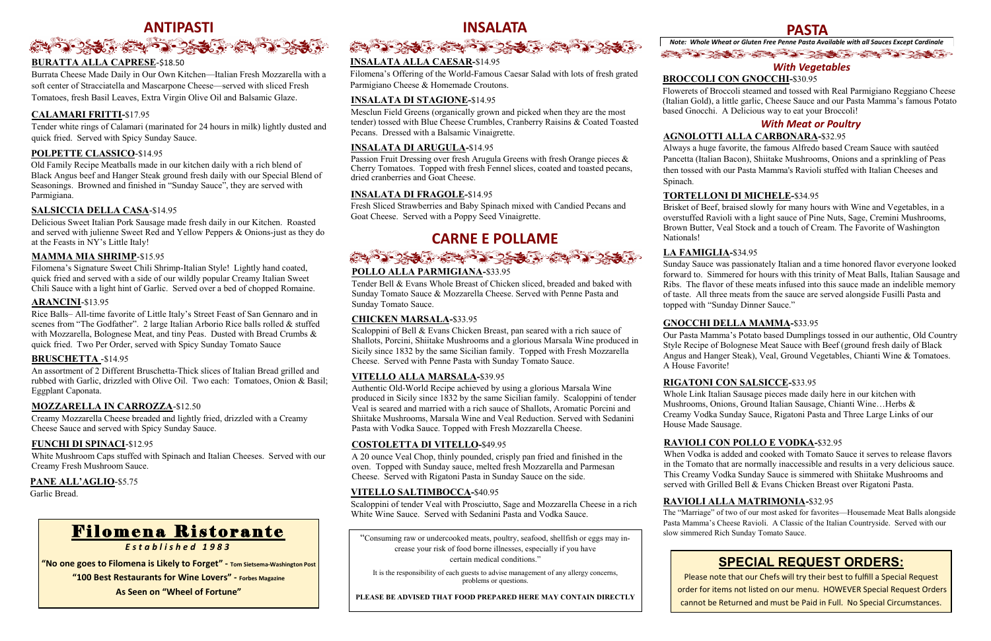# ANTIPASTI<br>۲۰۰<del>۰ - ۲۰۰۰ کلیک در کلی برای برای برای در کلیک کلیک در کلیک برای برای</del>

#### **BURATTA ALLA CAPRESE**-\$18.50

Burrata Cheese Made Daily in Our Own Kitchen—Italian Fresh Mozzarella with a soft center of Stracciatella and Mascarpone Cheese—served with sliced Fresh Tomatoes, fresh Basil Leaves, Extra Virgin Olive Oil and Balsamic Glaze.

#### **CALAMARI FRITTI-**\$17.95

Tender white rings of Calamari (marinated for 24 hours in milk) lightly dusted and quick fried. Served with Spicy Sunday Sauce.

#### **POLPETTE CLASSICO**-\$14.95

Old Family Recipe Meatballs made in our kitchen daily with a rich blend of Black Angus beef and Hanger Steak ground fresh daily with our Special Blend of Seasonings. Browned and finished in "Sunday Sauce", they are served with Parmigiana.

#### **SALSICCIA DELLA CASA**-\$14.95

Delicious Sweet Italian Pork Sausage made fresh daily in our Kitchen. Roasted and served with julienne Sweet Red and Yellow Peppers & Onions-just as they do at the Feasts in NY's Little Italy!

#### **MAMMA MIA SHRIMP**-\$15.95

Filomena's Signature Sweet Chili Shrimp-Italian Style! Lightly hand coated, quick fried and served with a side of our wildly popular Creamy Italian Sweet Chili Sauce with a light hint of Garlic. Served over a bed of chopped Romaine.

#### **ARANCINI**-\$13.95

Passion Fruit Dressing over fresh Arugula Greens with fresh Orange pieces & Cherry Tomatoes. Topped with fresh Fennel slices, coated and toasted pecans, dried cranberries and Goat Cheese.

Rice Balls– All-time favorite of Little Italy's Street Feast of San Gennaro and in scenes from "The Godfather". 2 large Italian Arborio Rice balls rolled & stuffed with Mozzarella, Bolognese Meat, and tiny Peas. Dusted with Bread Crumbs & quick fried. Two Per Order, served with Spicy Sunday Tomato Sauce

*Note: Whole Wheat or Gluten Free Penne Pasta Available with all Sauces Except Cardinale* あつつば ミュウ つきふ ミヤウンボ

#### **BRUSCHETTA** -\$14.95

An assortment of 2 Different Bruschetta-Thick slices of Italian Bread grilled and rubbed with Garlic, drizzled with Olive Oil. Two each: Tomatoes, Onion & Basil; Eggplant Caponata.

#### **MOZZARELLA IN CARROZZA**-\$12.50

Creamy Mozzarella Cheese breaded and lightly fried, drizzled with a Creamy Cheese Sauce and served with Spicy Sunday Sauce.

#### **FUNCHI DI SPINACI**-\$12.95

White Mushroom Caps stuffed with Spinach and Italian Cheeses. Served with our Creamy Fresh Mushroom Sauce.

#### **PANE ALL'AGLIO**-\$5.75

Garlic Bread.

#### **INSALATA ALLA CAESAR-**\$14.95

Filomena's Offering of the World-Famous Caesar Salad with lots of fresh grated Parmigiano Cheese & Homemade Croutons.

#### **INSALATA DI STAGIONE-**\$14.95

Mesclun Field Greens (organically grown and picked when they are the most tender) tossed with Blue Cheese Crumbles, Cranberry Raisins & Coated Toasted Pecans. Dressed with a Balsamic Vinaigrette.

#### **INSALATA DI ARUGULA-**\$14.95

#### **INSALATA DI FRAGOLE-**\$14.95

Fresh Sliced Strawberries and Baby Spinach mixed with Candied Pecans and Goat Cheese. Served with a Poppy Seed Vinaigrette.

### **PASTA**

#### **AGNOLOTTI ALLA CARBONARA-**\$32.95

Always a huge favorite, the famous Alfredo based Cream Sauce with sautéed Pancetta (Italian Bacon), Shiitake Mushrooms, Onions and a sprinkling of Peas then tossed with our Pasta Mamma's Ravioli stuffed with Italian Cheeses and

Spinach.

### **CARNE E POLLAME**



#### **POLLO ALLA PARMIGIANA-**\$33.95

Tender Bell & Evans Whole Breast of Chicken sliced, breaded and baked with Sunday Tomato Sauce & Mozzarella Cheese. Served with Penne Pasta and Sunday Tomato Sauce.

The "Marriage" of two of our most asked for favorites—Housemade Meat Balls alongside Pasta Mamma's Cheese Ravioli. A Classic of the Italian Countryside. Served with our<br>F i loment Rich Sunday Tomato Sauce.

#### **CHICKEN MARSALA-**\$33.95

Scaloppini of Bell & Evans Chicken Breast, pan seared with a rich sauce of Shallots, Porcini, Shiitake Mushrooms and a glorious Marsala Wine produced in Sicily since 1832 by the same Sicilian family. Topped with Fresh Mozzarella Cheese. Served with Penne Pasta with Sunday Tomato Sauce.

#### **VITELLO ALLA MARSALA-**\$39.95

Authentic Old-World Recipe achieved by using a glorious Marsala Wine produced in Sicily since 1832 by the same Sicilian family. Scaloppini of tender Veal is seared and married with a rich sauce of Shallots, Aromatic Porcini and Shiitake Mushrooms, Marsala Wine and Veal Reduction. Served with Sedanini Pasta with Vodka Sauce. Topped with Fresh Mozzarella Cheese.

#### **COSTOLETTA DI VITELLO-**\$49.95

A 20 ounce Veal Chop, thinly pounded, crisply pan fried and finished in the oven. Topped with Sunday sauce, melted fresh Mozzarella and Parmesan Cheese. Served with Rigatoni Pasta in Sunday Sauce on the side.

#### **VITELLO SALTIMBOCCA-**\$40.95

Scaloppini of tender Veal with Prosciutto, Sage and Mozzarella Cheese in a rich White Wine Sauce. Served with Sedanini Pasta and Vodka Sauce.

"Consuming raw or undercooked meats, poultry, seafood, shellfish or eggs may increase your risk of food borne illnesses, especially if you have certain medical conditions."

It is the responsibility of each guests to advise management of any allergy concerns, problems or questions.

**PLEASE BE ADVISED THAT FOOD PREPARED HERE MAY CONTAIN DIRECTLY** 

### **BROCCOLI CON GNOCCHI-**\$30.95

Flowerets of Broccoli steamed and tossed with Real Parmigiano Reggiano Cheese (Italian Gold), a little garlic, Cheese Sauce and our Pasta Mamma's famous Potato based Gnocchi. A Delicious way to eat your Broccoli!

#### **TORTELLONI DI MICHELE-**\$34.95

Brisket of Beef, braised slowly for many hours with Wine and Vegetables, in a overstuffed Ravioli with a light sauce of Pine Nuts, Sage, Cremini Mushrooms, Brown Butter, Veal Stock and a touch of Cream. The Favorite of Washington

Nationals!

#### **LA FAMIGLIA-**\$34.95

Sunday Sauce was passionately Italian and a time honored flavor everyone looked forward to. Simmered for hours with this trinity of Meat Balls, Italian Sausage and Ribs. The flavor of these meats infused into this sauce made an indelible memory of taste. All three meats from the sauce are served alongside Fusilli Pasta and topped with "Sunday Dinner Sauce."

#### **GNOCCHI DELLA MAMMA-**\$33.95

Our Pasta Mamma's Potato based Dumplings tossed in our authentic, Old Country Style Recipe of Bolognese Meat Sauce with Beef (ground fresh daily of Black Angus and Hanger Steak), Veal, Ground Vegetables, Chianti Wine & Tomatoes. A House Favorite!

#### **RIGATONI CON SALSICCE-**\$33.95

Whole Link Italian Sausage pieces made daily here in our kitchen with Mushrooms, Onions, Ground Italian Sausage, Chianti Wine…Herbs & Creamy Vodka Sunday Sauce, Rigatoni Pasta and Three Large Links of our House Made Sausage.

#### **RAVIOLI CON POLLO E VODKA-**\$32.95

When Vodka is added and cooked with Tomato Sauce it serves to release flavors in the Tomato that are normally inaccessible and results in a very delicious sauce. This Creamy Vodka Sunday Sauce is simmered with Shiitake Mushrooms and served with Grilled Bell & Evans Chicken Breast over Rigatoni Pasta.

### *With Vegetables*

#### *With Meat or Poultry*

#### **RAVIOLI ALLA MATRIMONIA-**\$32.95

*E s t a b l i s h e d 1 9 8 3*

**"No one goes to Filomena is Likely to Forget" - Tom Sietsema-Washington Post**

**"100 Best Restaurants for Wine Lovers" - Forbes Magazine**

**As Seen on "Wheel of Fortune"**



### **SPECIAL REQUEST ORDERS:**

Please note that our Chefs will try their best to fulfill a Special Request order for items not listed on our menu. HOWEVER Special Request Orders cannot be Returned and must be Paid in Full. No Special Circumstances.